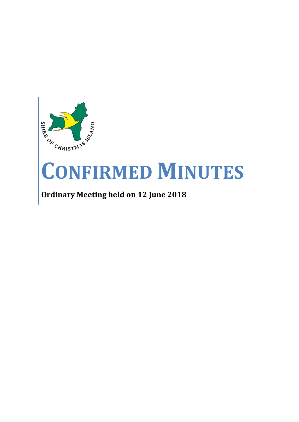

# **CONFIRMED MINUTES**

# **Ordinary Meeting held on 12 June 2018**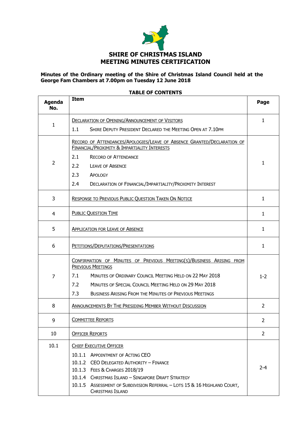

#### **Minutes of the Ordinary meeting of the Shire of Christmas Island Council held at the George Fam Chambers at 7.00pm on Tuesday 12 June 2018**

| <b>Agenda</b><br>No. | <b>Item</b>                                                                                                             | Page           |
|----------------------|-------------------------------------------------------------------------------------------------------------------------|----------------|
|                      | <b>DECLARATION OF OPENING/ANNOUNCEMENT OF VISITORS</b>                                                                  | 1              |
| 1                    | 1.1<br>SHIRE DEPUTY PRESIDENT DECLARED THE MEETING OPEN AT 7.10PM                                                       |                |
|                      | RECORD OF ATTENDANCES/APOLOGIES/LEAVE OF ABSENCE GRANTED/DECLARATION OF<br>FINANCIAL/PROXIMITY & IMPARTIALITY INTERESTS |                |
|                      | 2.1<br><b>RECORD OF ATTENDANCE</b>                                                                                      |                |
| $\overline{2}$       | 2.2<br><b>LEAVE OF ABSENCE</b>                                                                                          | 1              |
|                      | 2.3<br><b>APOLOGY</b>                                                                                                   |                |
|                      | 2.4<br>DECLARATION OF FINANCIAL/IMPARTIALITY/PROXIMITY INTEREST                                                         |                |
| 3                    | RESPONSE TO PREVIOUS PUBLIC QUESTION TAKEN ON NOTICE                                                                    | 1              |
| $\overline{4}$       | <b>PUBLIC QUESTION TIME</b>                                                                                             | $\mathbf{1}$   |
| 5                    | <b>APPLICATION FOR LEAVE OF ABSENCE</b>                                                                                 | $\mathbf{1}$   |
| 6                    | PETITIONS/DEPUTATIONS/PRESENTATIONS                                                                                     | $\mathbf{1}$   |
|                      | CONFIRMATION OF MINUTES OF PREVIOUS MEETING(S)/BUSINESS ARISING FROM<br><b>PREVIOUS MEETINGS</b>                        |                |
| $\overline{7}$       | MINUTES OF ORDINARY COUNCIL MEETING HELD ON 22 MAY 2018<br>7.1                                                          | $1 - 2$        |
|                      | 7.2<br><b>MINUTES OF SPECIAL COUNCIL MEETING HELD ON 29 MAY 2018</b>                                                    |                |
|                      | 7.3<br><b>BUSINESS ARISING FROM THE MINUTES OF PREVIOUS MEETINGS</b>                                                    |                |
| 8                    | ANNOUNCEMENTS BY THE PRESIDING MEMBER WITHOUT DISCUSSION                                                                | $\overline{2}$ |
| 9                    | <b>COMMITTEE REPORTS</b>                                                                                                | 2              |
| 10                   | <b>OFFICER REPORTS</b>                                                                                                  | $\overline{2}$ |
| 10.1                 | <b>CHIEF EXECUTIVE OFFICER</b>                                                                                          |                |
|                      | 10.1.1 APPOINTMENT OF ACTING CEO                                                                                        |                |
|                      | 10.1.2 CEO DELEGATED AUTHORITY - FINANCE                                                                                |                |
|                      | 10.1.3 FEES & CHARGES 2018/19                                                                                           | $2 - 4$        |
|                      | 10.1.4 CHRISTMAS ISLAND - SINGAPORE DRAFT STRATEGY                                                                      |                |
|                      | 10.1.5 ASSESSMENT OF SUBDIVISION REFERRAL - LOTS 15 & 16 HIGHLAND COURT,<br>CHRISTMAS ISLAND                            |                |

#### **TABLE OF CONTENTS**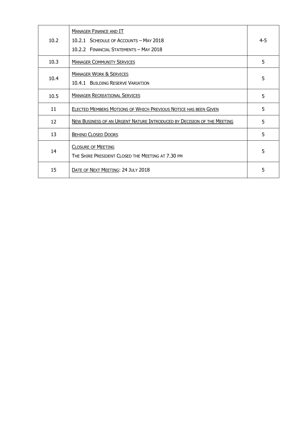| 10.2 | <b>MANAGER FINANCE AND IT</b><br>10.2.1 SCHEDULE OF ACCOUNTS - MAY 2018<br>10.2.2 FINANCIAL STATEMENTS - MAY 2018 | $4 - 5$ |
|------|-------------------------------------------------------------------------------------------------------------------|---------|
| 10.3 | <b>MANAGER COMMUNITY SERVICES</b>                                                                                 | 5       |
| 10.4 | <b>MANAGER WORK &amp; SERVICES</b><br><b>10.4.1 BUILDING RESERVE VARIATION</b>                                    | 5       |
| 10.5 | <b>MANAGER RECREATIONAL SERVICES</b>                                                                              | 5       |
| 11   | ELECTED MEMBERS MOTIONS OF WHICH PREVIOUS NOTICE HAS BEEN GIVEN                                                   | 5       |
| 12   | NEW BUSINESS OF AN URGENT NATURE INTRODUCED BY DECISION OF THE MEETING                                            | 5       |
| 13   | <b>BEHIND CLOSED DOORS</b>                                                                                        | 5       |
| 14   | <b>CLOSURE OF MEETING</b><br>THE SHIRE PRESIDENT CLOSED THE MEETING AT 7.30 PM                                    | 5       |
| 15   | DATE OF NEXT MEETING: 24 JULY 2018                                                                                | 5       |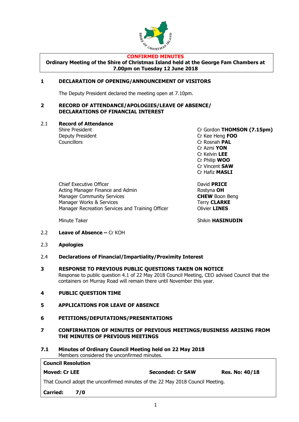

#### **CONFIRMED MINUTES**

**Ordinary Meeting of the Shire of Christmas Island held at the George Fam Chambers at 7.00pm on Tuesday 12 June 2018**

#### **1 DECLARATION OF OPENING/ANNOUNCEMENT OF VISITORS**

The Deputy President declared the meeting open at 7.10pm.

#### **2 RECORD OF ATTENDANCE/APOLOGIES/LEAVE OF ABSENCE/ DECLARATIONS OF FINANCIAL INTEREST**

#### 2.1 **Record of Attendance**

Councillors **Councillors** Cr Rosnah **PAL** 

Shire President Cr Gordon **THOMSON (7.15pm)** Deputy President Cr Kee Heng **FOO** Cr Azmi **YON** Cr Kelvin **LEE** Cr Philip **WOO** Cr Vincent **SAW** Cr Hafiz **MASLI**

Chief Executive Officer David **PRICE** Acting Manager Finance and Admin **Rostyna OH** Rostyna **OH** Manager Community Services **CHEW** Boon Beng Manager Works & Services Terry **CLARKE** Manager Recreation Services and Training Officer **Canadian Colivier LINES** 

Minute Taker Shikin **HASINUDIN** 

- 2.2 **Leave of Absence –** Cr KOH
- 2.3 **Apologies**
- 2.4 **Declarations of Financial/Impartiality/Proximity Interest**
- **3 RESPONSE TO PREVIOUS PUBLIC QUESTIONS TAKEN ON NOTICE**  Response to public question 4.1 of 22 May 2018 Council Meeting, CEO advised Council that the containers on Murray Road will remain there until November this year.
- **4 PUBLIC QUESTION TIME**
- **5 APPLICATIONS FOR LEAVE OF ABSENCE**
- **6 PETITIONS/DEPUTATIONS/PRESENTATIONS**
- **7 CONFIRMATION OF MINUTES OF PREVIOUS MEETINGS/BUSINESS ARISING FROM THE MINUTES OF PREVIOUS MEETINGS**
- **7.1 Minutes of Ordinary Council Meeting held on 22 May 2018** Members considered the unconfirmed minutes.

| <b>Council Resolution</b>                                                      |                         |                       |  |  |
|--------------------------------------------------------------------------------|-------------------------|-----------------------|--|--|
| <b>Moved: Cr LEE</b>                                                           | <b>Seconded: Cr SAW</b> | <b>Res. No: 40/18</b> |  |  |
| That Council adopt the unconfirmed minutes of the 22 May 2018 Council Meeting. |                         |                       |  |  |
| <b>Carried:</b><br>7/0                                                         |                         |                       |  |  |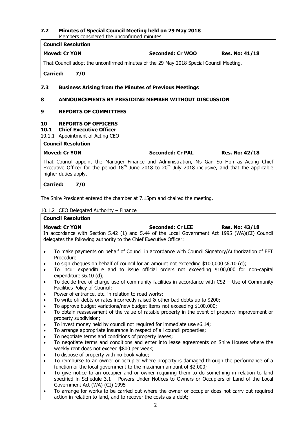#### **7.2 Minutes of Special Council Meeting held on 29 May 2018** Members considered the unconfirmed minutes.

**Council Resolution**

## **Moved: Cr YON Seconded: Cr WOO Res. No: 41/18**

That Council adopt the unconfirmed minutes of the 29 May 2018 Special Council Meeting.

**Carried: 7/0**

#### **7.3 Business Arising from the Minutes of Previous Meetings**

#### **8 ANNOUNCEMENTS BY PRESIDING MEMBER WITHOUT DISCUSSION**

#### **9 REPORTS OF COMMITTEES**

#### **10 REPORTS OF OFFICERS**

**10.1 Chief Executive Officer**

10.1.1 Appointment of Acting CEO **Council Resolution**

| <b>L</b> Council Resolution |                         |                       |
|-----------------------------|-------------------------|-----------------------|
| Moved: Cr YON               | <b>Seconded: Cr PAL</b> | <b>Res. No: 42/18</b> |

That Council appoint the Manager Finance and Administration, Ms Gan So Hon as Acting Chief Executive Officer for the period  $18<sup>th</sup>$  June 2018 to 20<sup>th</sup> July 2018 inclusive, and that the applicable higher duties apply.

**Carried: 7/0**

The Shire President entered the chamber at 7.15pm and chaired the meeting.

#### 10.1.2 CEO Delegated Authority – Finance

|                | <b>Council Resolution</b>                                                                                                                                                                                                                       |
|----------------|-------------------------------------------------------------------------------------------------------------------------------------------------------------------------------------------------------------------------------------------------|
|                | <b>Seconded: Cr LEE</b><br><b>Moved: Cr YON</b><br><b>Res. No: 43/18</b><br>In accordance with Section 5.42 (1) and 5.44 of the Local Government Act 1995 (WA)(CI) Council<br>delegates the following authority to the Chief Executive Officer: |
|                | To make payments on behalf of Council in accordance with Council Signatory/Authorization of EFT                                                                                                                                                 |
|                | Procedure                                                                                                                                                                                                                                       |
| ٠<br>$\bullet$ | To sign cheques on behalf of council for an amount not exceeding \$100,000 s6.10 (d);<br>To incur expenditure and to issue official orders not exceeding \$100,000 for non-capital<br>expenditure $s6.10$ (d);                                  |
| $\bullet$      | To decide free of charge use of community facilities in accordance with $CS2 -$ Use of Community<br>Facilities Policy of Council;                                                                                                               |
| $\bullet$      | Power of entrance, etc. in relation to road works;                                                                                                                                                                                              |
| $\bullet$      | To write off debts or rates incorrectly raised & other bad debts up to \$200;                                                                                                                                                                   |
| $\bullet$      | To approve budget variations/new budget items not exceeding \$100,000;                                                                                                                                                                          |
| $\bullet$      | To obtain reassessment of the value of ratable property in the event of property improvement or<br>property subdivision;                                                                                                                        |
| $\bullet$      | To invest money held by council not required for immediate use s6.14;                                                                                                                                                                           |
| $\bullet$      | To arrange appropriate insurance in respect of all council properties;                                                                                                                                                                          |
| $\bullet$      | To negotiate terms and conditions of property leases;                                                                                                                                                                                           |
| $\bullet$      | To negotiate terms and conditions and enter into lease agreements on Shire Houses where the<br>weekly rent does not exceed \$800 per week;                                                                                                      |
| $\bullet$      | To dispose of property with no book value;                                                                                                                                                                                                      |
| $\bullet$      | To reimburse to an owner or occupier where property is damaged through the performance of a                                                                                                                                                     |
|                | function of the local government to the maximum amount of \$2,000;                                                                                                                                                                              |
| $\bullet$      | To give notice to an occupier and or owner requiring them to do something in relation to land<br>specified in Schedule $3.1$ – Powers Under Notices to Owners or Occupiers of Land of the Local<br>Government Act (WA) (CI) 1995                |

 To arrange for works to be carried out where the owner or occupier does not carry out required action in relation to land, and to recover the costs as a debt;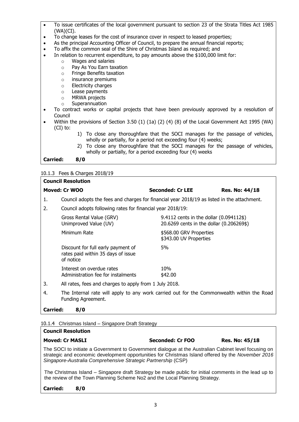- To issue certificates of the local government pursuant to section 23 of the Strata Titles Act 1985 (WA)(CI).
- To change leases for the cost of insurance cover in respect to leased properties;
- As the principal Accounting Officer of Council, to prepare the annual financial reports;
- To affix the common seal of the Shire of Christmas Island as required; and
- In relation to recurrent expenditure, to pay amounts above the \$100,000 limit for:
	- o Wages and salaries
	- o Pay As You Earn taxation
	- o Fringe Benefits taxation
	- o insurance premiums
	- o Electricity charges
	- o Lease payments
	- o MRWA projects
	- o Superannuation
- To contract works or capital projects that have been previously approved by a resolution of Council
- Within the provisions of Section 3.50 (1) (1a) (2) (4) (8) of the Local Government Act 1995 (WA) (CI) to:
	- 1) To close any thoroughfare that the SOCI manages for the passage of vehicles, wholly or partially, for a period not exceeding four (4) weeks;
	- 2) To close any thoroughfare that the SOCI manages for the passage of vehicles, wholly or partially, for a period exceeding four (4) weeks

**Carried: 8/0**

#### 10.1.3 Fees & Charges 2018/19

| <b>Council Resolution</b> |                                                                                                                 |                                                                                     |                       |  |
|---------------------------|-----------------------------------------------------------------------------------------------------------------|-------------------------------------------------------------------------------------|-----------------------|--|
|                           | Moved: Cr WOO                                                                                                   | <b>Seconded: Cr LEE</b>                                                             | <b>Res. No: 44/18</b> |  |
| 1.                        | Council adopts the fees and charges for financial year 2018/19 as listed in the attachment.                     |                                                                                     |                       |  |
| 2.                        | Council adopts following rates for financial year 2018/19:                                                      |                                                                                     |                       |  |
|                           | Gross Rental Value (GRV)<br>Unimproved Value (UV)                                                               | 9.4112 cents in the dollar (0.094112\$)<br>20.6269 cents in the dollar (0.206269\$) |                       |  |
|                           | Minimum Rate                                                                                                    | \$568.00 GRV Properties<br>\$343.00 UV Properties                                   |                       |  |
|                           | Discount for full early payment of<br>rates paid within 35 days of issue<br>of notice                           | 5%                                                                                  |                       |  |
|                           | Interest on overdue rates<br>Administration fee for instalments                                                 | 10%<br>\$42.00                                                                      |                       |  |
| 3.                        | All rates, fees and charges to apply from 1 July 2018.                                                          |                                                                                     |                       |  |
| 4.                        | The Internal rate will apply to any work carried out for the Commonwealth within the Road<br>Funding Agreement. |                                                                                     |                       |  |

**Carried: 8/0**

10.1.4 Christmas Island – Singapore Draft Strategy

| <b>Council Resolution</b>                                                                                                                                                                                                                                                   |                  |                       |  |  |
|-----------------------------------------------------------------------------------------------------------------------------------------------------------------------------------------------------------------------------------------------------------------------------|------------------|-----------------------|--|--|
| <b>Moved: Cr MASLI</b>                                                                                                                                                                                                                                                      | Seconded: Cr FOO | <b>Res. No: 45/18</b> |  |  |
| The SOCI to initiate a Government to Government dialogue at the Australian Cabinet level focusing on<br>strategic and economic development opportunities for Christmas Island offered by the November 2016<br>Singapore-Australia Comprehensive Strategic Partnership (CSP) |                  |                       |  |  |
| The Christmas Island – Singapore draft Strategy be made public for initial comments in the lead up to<br>the review of the Town Planning Scheme No2 and the Local Planning Strategy.                                                                                        |                  |                       |  |  |
| <b>Carried:</b><br>8/0                                                                                                                                                                                                                                                      |                  |                       |  |  |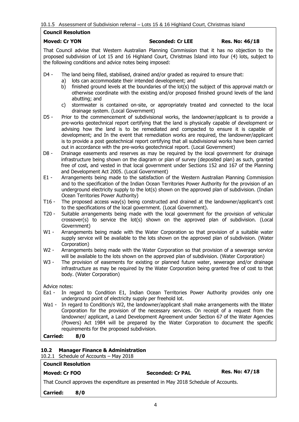|  |  | 10.1.5 Assessment of Subdivision referral - Lots 15 & 16 Highland Court, Christmas Island |  |  |  |  |
|--|--|-------------------------------------------------------------------------------------------|--|--|--|--|
|--|--|-------------------------------------------------------------------------------------------|--|--|--|--|

#### **Council Resolution**

#### **Moved: Cr YON Seconded: Cr LEE Res. No: 46/18**

That Council advise that Western Australian Planning Commission that it has no objection to the proposed subdivision of Lot 15 and 16 Highland Court, Christmas Island into four (4) lots, subject to the following conditions and advice notes being imposed:

- D4 The land being filled, stabilised, drained and/or graded as required to ensure that:
	- a) lots can accommodate their intended development; and
	- b) finished ground levels at the boundaries of the lot(s) the subject of this approval match or otherwise coordinate with the existing and/or proposed finished ground levels of the land abutting; and
	- c) stormwater is contained on-site, or appropriately treated and connected to the local drainage system. (Local Government)
- D5 Prior to the commencement of subdivisional works, the landowner/applicant is to provide a pre-works geotechnical report certifying that the land is physically capable of development or advising how the land is to be remediated and compacted to ensure it is capable of development; and In the event that remediation works are required, the landowner/applicant is to provide a post geotechnical report certifying that all subdivisional works have been carried out in accordance with the pre-works geotechnical report. (Local Government)
- D8 Drainage easements and reserves as may be required by the local government for drainage infrastructure being shown on the diagram or plan of survey (deposited plan) as such, granted free of cost, and vested in that local government under Sections 152 and 167 of the Planning and Development Act 2005. (Local Government)
- E1 Arrangements being made to the satisfaction of the Western Australian Planning Commission and to the specification of the Indian Ocean Territories Power Authority for the provision of an underground electricity supply to the lot(s) shown on the approved plan of subdivision. (Indian Ocean Territories Power Authority)
- T16 The proposed access way(s) being constructed and drained at the landowner/applicant's cost to the specifications of the local government. (Local Government).
- T20 Suitable arrangements being made with the local government for the provision of vehicular crossover(s) to service the lot(s) shown on the approved plan of subdivision. (Local Government)
- W1 Arrangements being made with the Water Corporation so that provision of a suitable water supply service will be available to the lots shown on the approved plan of subdivision. (Water Corporation)
- W<sub>2</sub> Arrangements being made with the Water Corporation so that provision of a sewerage service will be available to the lots shown on the approved plan of subdivision. (Water Corporation)
- W3 The provision of easements for existing or planned future water, sewerage and/or drainage infrastructure as may be required by the Water Corporation being granted free of cost to that body. (Water Corporation)

Advice notes:

- Ea1 In regard to Condition E1, Indian Ocean Territories Power Authority provides only one underground point of electricity supply per freehold lot.
- Wa1 In regard to Condition/s W2, the landowner/applicant shall make arrangements with the Water Corporation for the provision of the necessary services. On receipt of a request from the landowner/ applicant, a Land Development Agreement under Section 67 of the Water Agencies (Powers) Act 1984 will be prepared by the Water Corporation to document the specific requirements for the proposed subdivision.

**Carried: 8/0**

### **10.2 Manager Finance & Administration**

#### 10.2.1 Schedule of Accounts – May 2018

# **Council Resolution**

# **Moved: Cr FOO Seconded: Cr PAL Res. No: 47/18**

That Council approves the expenditure as presented in May 2018 Schedule of Accounts.

**Carried: 8/0**